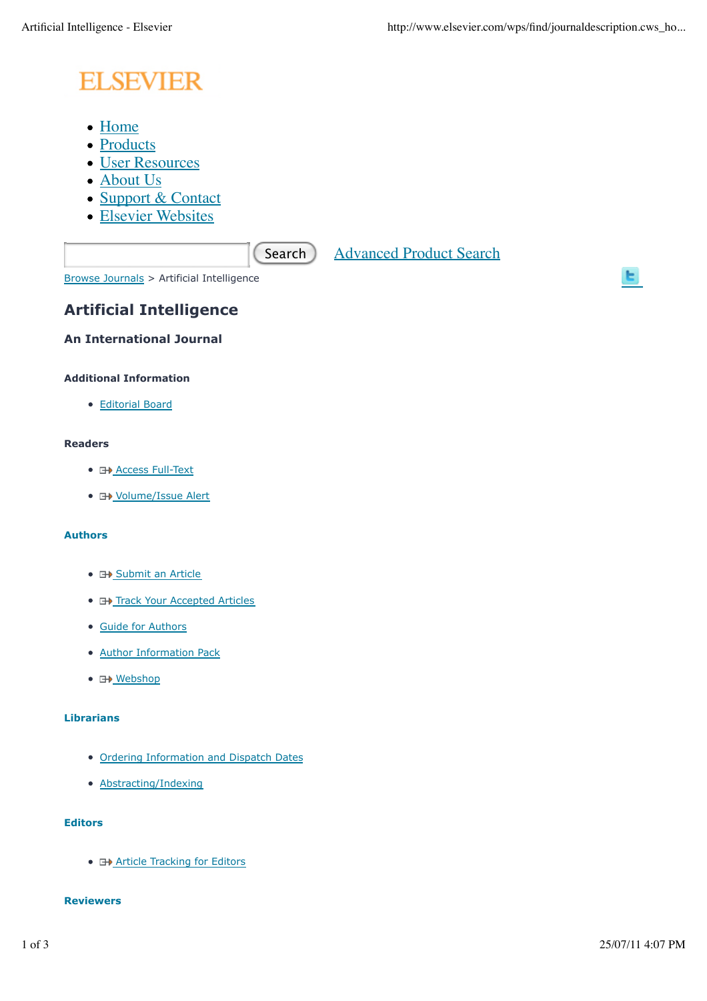# **ELSEVIER**

- Home
- Products
- User Resources
- About Us
- Support & Contact
- Elsevier Websites

Search Advanced Product Search

Browse Journals > Artificial Intelligence

# **Artificial Intelligence**

# **An International Journal**

## **Additional Information**

Editorial Board

#### **Readers**

- **E+ Access Full-Text**
- **H** Volume/Issue Alert

#### **Authors**

- **E+ Submit an Article**
- **E+ Track Your Accepted Articles**
- Guide for Authors
- Author Information Pack
- 日<u>》Webshop</u>

#### **Librarians**

- Ordering Information and Dispatch Dates
- Abstracting/Indexing

### **Editors**

**• E+ Article Tracking for Editors** 

#### **Reviewers**

ы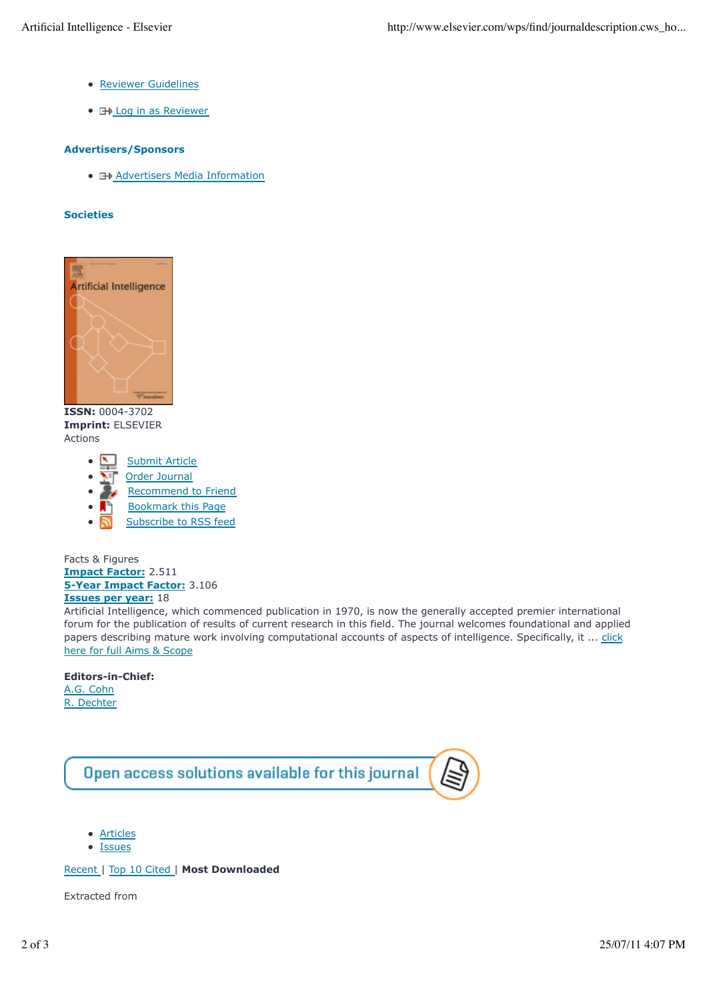- Reviewer Guidelines
- **E**Log in as Reviewer

#### **Advertisers/Sponsors**

• **E+>** Advertisers Media Information

#### **Societies**



**ISSN:** 0004-3702 **Imprint:** ELSEVIER Actions

- Submit Article
- Order Journal
- Recommend to Friend
- Bookmark this Page
- Subscribe to RSS feed  $\bullet$

Facts & Figures **Impact Factor:** 2.511 **5-Year Impact Factor:** 3.106 **Issues per year:** 18

Artificial Intelligence, which commenced publication in 1970, is now the generally accepted premier international forum for the publication of results of current research in this field. The journal welcomes foundational and applied papers describing mature work involving computational accounts of aspects of intelligence. Specifically, it ... click here for full Aims & Scope

#### **Editors-in-Chief:**

A.G. Cohn R. Dechter



- Articles
- **Issues**

Recent | Top 10 Cited | **Most Downloaded**

Extracted from